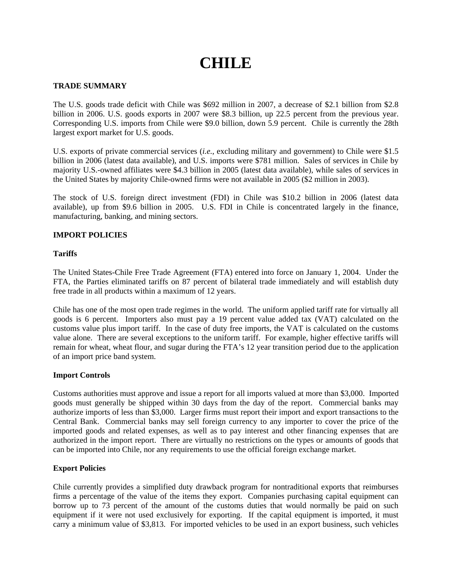# **CHILE**

# **TRADE SUMMARY**

The U.S. goods trade deficit with Chile was \$692 million in 2007, a decrease of \$2.1 billion from \$2.8 billion in 2006. U.S. goods exports in 2007 were \$8.3 billion, up 22.5 percent from the previous year. Corresponding U.S. imports from Chile were \$9.0 billion, down 5.9 percent. Chile is currently the 28th largest export market for U.S. goods.

U.S. exports of private commercial services (*i.e.*, excluding military and government) to Chile were \$1.5 billion in 2006 (latest data available), and U.S. imports were \$781 million. Sales of services in Chile by majority U.S.-owned affiliates were \$4.3 billion in 2005 (latest data available), while sales of services in the United States by majority Chile-owned firms were not available in 2005 (\$2 million in 2003).

The stock of U.S. foreign direct investment (FDI) in Chile was \$10.2 billion in 2006 (latest data available), up from \$9.6 billion in 2005. U.S. FDI in Chile is concentrated largely in the finance, manufacturing, banking, and mining sectors.

# **IMPORT POLICIES**

# **Tariffs**

The United States-Chile Free Trade Agreement (FTA) entered into force on January 1, 2004. Under the FTA, the Parties eliminated tariffs on 87 percent of bilateral trade immediately and will establish duty free trade in all products within a maximum of 12 years.

Chile has one of the most open trade regimes in the world. The uniform applied tariff rate for virtually all goods is 6 percent. Importers also must pay a 19 percent value added tax (VAT) calculated on the customs value plus import tariff. In the case of duty free imports, the VAT is calculated on the customs value alone. There are several exceptions to the uniform tariff. For example, higher effective tariffs will remain for wheat, wheat flour, and sugar during the FTA's 12 year transition period due to the application of an import price band system.

# **Import Controls**

Customs authorities must approve and issue a report for all imports valued at more than \$3,000. Imported goods must generally be shipped within 30 days from the day of the report. Commercial banks may authorize imports of less than \$3,000. Larger firms must report their import and export transactions to the Central Bank. Commercial banks may sell foreign currency to any importer to cover the price of the imported goods and related expenses, as well as to pay interest and other financing expenses that are authorized in the import report. There are virtually no restrictions on the types or amounts of goods that can be imported into Chile, nor any requirements to use the official foreign exchange market.

# **Export Policies**

Chile currently provides a simplified duty drawback program for nontraditional exports that reimburses firms a percentage of the value of the items they export. Companies purchasing capital equipment can borrow up to 73 percent of the amount of the customs duties that would normally be paid on such equipment if it were not used exclusively for exporting. If the capital equipment is imported, it must carry a minimum value of \$3,813. For imported vehicles to be used in an export business, such vehicles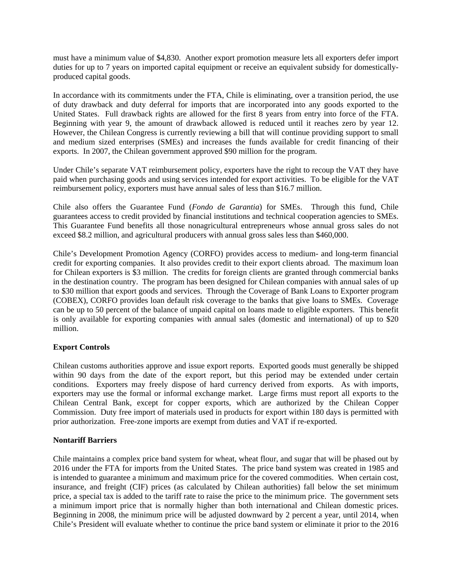must have a minimum value of \$4,830. Another export promotion measure lets all exporters defer import duties for up to 7 years on imported capital equipment or receive an equivalent subsidy for domesticallyproduced capital goods.

In accordance with its commitments under the FTA, Chile is eliminating, over a transition period, the use of duty drawback and duty deferral for imports that are incorporated into any goods exported to the United States. Full drawback rights are allowed for the first 8 years from entry into force of the FTA. Beginning with year 9, the amount of drawback allowed is reduced until it reaches zero by year 12. However, the Chilean Congress is currently reviewing a bill that will continue providing support to small and medium sized enterprises (SMEs) and increases the funds available for credit financing of their exports. In 2007, the Chilean government approved \$90 million for the program.

Under Chile's separate VAT reimbursement policy, exporters have the right to recoup the VAT they have paid when purchasing goods and using services intended for export activities. To be eligible for the VAT reimbursement policy, exporters must have annual sales of less than \$16.7 million.

Chile also offers the Guarantee Fund (*Fondo de Garantia*) for SMEs. Through this fund, Chile guarantees access to credit provided by financial institutions and technical cooperation agencies to SMEs. This Guarantee Fund benefits all those nonagricultural entrepreneurs whose annual gross sales do not exceed \$8.2 million, and agricultural producers with annual gross sales less than \$460,000.

Chile's Development Promotion Agency (CORFO) provides access to medium- and long-term financial credit for exporting companies. It also provides credit to their export clients abroad. The maximum loan for Chilean exporters is \$3 million. The credits for foreign clients are granted through commercial banks in the destination country. The program has been designed for Chilean companies with annual sales of up to \$30 million that export goods and services. Through the Coverage of Bank Loans to Exporter program (COBEX), CORFO provides loan default risk coverage to the banks that give loans to SMEs. Coverage can be up to 50 percent of the balance of unpaid capital on loans made to eligible exporters. This benefit is only available for exporting companies with annual sales (domestic and international) of up to \$20 million.

# **Export Controls**

Chilean customs authorities approve and issue export reports. Exported goods must generally be shipped within 90 days from the date of the export report, but this period may be extended under certain conditions. Exporters may freely dispose of hard currency derived from exports. As with imports, exporters may use the formal or informal exchange market. Large firms must report all exports to the Chilean Central Bank, except for copper exports, which are authorized by the Chilean Copper Commission. Duty free import of materials used in products for export within 180 days is permitted with prior authorization. Free-zone imports are exempt from duties and VAT if re-exported.

# **Nontariff Barriers**

Chile maintains a complex price band system for wheat, wheat flour, and sugar that will be phased out by 2016 under the FTA for imports from the United States. The price band system was created in 1985 and is intended to guarantee a minimum and maximum price for the covered commodities. When certain cost, insurance, and freight (CIF) prices (as calculated by Chilean authorities) fall below the set minimum price, a special tax is added to the tariff rate to raise the price to the minimum price. The government sets a minimum import price that is normally higher than both international and Chilean domestic prices. Beginning in 2008, the minimum price will be adjusted downward by 2 percent a year, until 2014, when Chile's President will evaluate whether to continue the price band system or eliminate it prior to the 2016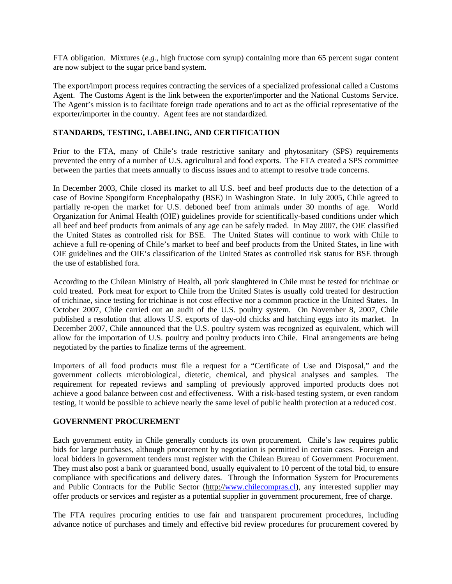FTA obligation. Mixtures (*e.g.*, high fructose corn syrup) containing more than 65 percent sugar content are now subject to the sugar price band system.

The export/import process requires contracting the services of a specialized professional called a Customs Agent. The Customs Agent is the link between the exporter/importer and the National Customs Service. The Agent's mission is to facilitate foreign trade operations and to act as the official representative of the exporter/importer in the country. Agent fees are not standardized.

#### **STANDARDS, TESTING, LABELING, AND CERTIFICATION**

Prior to the FTA, many of Chile's trade restrictive sanitary and phytosanitary (SPS) requirements prevented the entry of a number of U.S. agricultural and food exports. The FTA created a SPS committee between the parties that meets annually to discuss issues and to attempt to resolve trade concerns.

In December 2003, Chile closed its market to all U.S. beef and beef products due to the detection of a case of Bovine Spongiform Encephalopathy (BSE) in Washington State. In July 2005, Chile agreed to partially re-open the market for U.S. deboned beef from animals under 30 months of age. World Organization for Animal Health (OIE) guidelines provide for scientifically-based conditions under which all beef and beef products from animals of any age can be safely traded. In May 2007, the OIE classified the United States as controlled risk for BSE. The United States will continue to work with Chile to achieve a full re-opening of Chile's market to beef and beef products from the United States, in line with OIE guidelines and the OIE's classification of the United States as controlled risk status for BSE through the use of established fora.

According to the Chilean Ministry of Health, all pork slaughtered in Chile must be tested for trichinae or cold treated. Pork meat for export to Chile from the United States is usually cold treated for destruction of trichinae, since testing for trichinae is not cost effective nor a common practice in the United States. In October 2007, Chile carried out an audit of the U.S. poultry system. On November 8, 2007, Chile published a resolution that allows U.S. exports of day-old chicks and hatching eggs into its market. In December 2007, Chile announced that the U.S. poultry system was recognized as equivalent, which will allow for the importation of U.S. poultry and poultry products into Chile. Final arrangements are being negotiated by the parties to finalize terms of the agreement.

Importers of all food products must file a request for a "Certificate of Use and Disposal," and the government collects microbiological, dietetic, chemical, and physical analyses and samples. The requirement for repeated reviews and sampling of previously approved imported products does not achieve a good balance between cost and effectiveness. With a risk-based testing system, or even random testing, it would be possible to achieve nearly the same level of public health protection at a reduced cost.

# **GOVERNMENT PROCUREMENT**

Each government entity in Chile generally conducts its own procurement. Chile's law requires public bids for large purchases, although procurement by negotiation is permitted in certain cases. Foreign and local bidders in government tenders must register with the Chilean Bureau of Government Procurement. They must also post a bank or guaranteed bond, usually equivalent to 10 percent of the total bid, to ensure compliance with specifications and delivery dates. Through the Information System for Procurements and Public Contracts for the Public Sector (http:/[/www.chilecompras.cl\)](http://www.chilecompras.cl/), any interested supplier may offer products or services and register as a potential supplier in government procurement, free of charge.

The FTA requires procuring entities to use fair and transparent procurement procedures, including advance notice of purchases and timely and effective bid review procedures for procurement covered by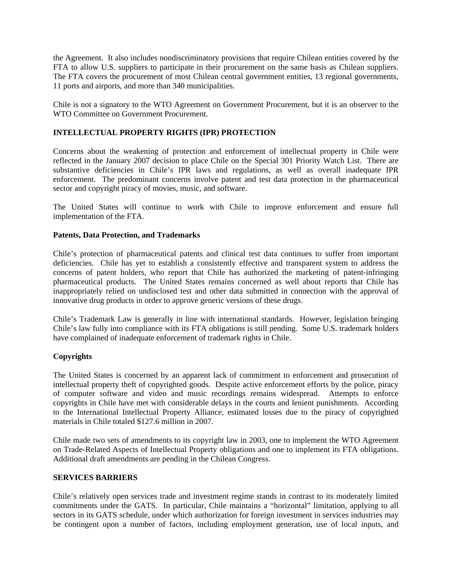the Agreement. It also includes nondiscriminatory provisions that require Chilean entities covered by the FTA to allow U.S. suppliers to participate in their procurement on the same basis as Chilean suppliers. The FTA covers the procurement of most Chilean central government entities, 13 regional governments, 11 ports and airports, and more than 340 municipalities.

Chile is not a signatory to the WTO Agreement on Government Procurement, but it is an observer to the WTO Committee on Government Procurement.

# **INTELLECTUAL PROPERTY RIGHTS (IPR) PROTECTION**

Concerns about the weakening of protection and enforcement of intellectual property in Chile were reflected in the January 2007 decision to place Chile on the Special 301 Priority Watch List. There are substantive deficiencies in Chile's IPR laws and regulations, as well as overall inadequate IPR enforcement. The predominant concerns involve patent and test data protection in the pharmaceutical sector and copyright piracy of movies, music, and software.

The United States will continue to work with Chile to improve enforcement and ensure full implementation of the FTA.

# **Patents, Data Protection, and Trademarks**

Chile's protection of pharmaceutical patents and clinical test data continues to suffer from important deficiencies. Chile has yet to establish a consistently effective and transparent system to address the concerns of patent holders, who report that Chile has authorized the marketing of patent-infringing pharmaceutical products. The United States remains concerned as well about reports that Chile has inappropriately relied on undisclosed test and other data submitted in connection with the approval of innovative drug products in order to approve generic versions of these drugs.

Chile's Trademark Law is generally in line with international standards. However, legislation bringing Chile's law fully into compliance with its FTA obligations is still pending. Some U.S. trademark holders have complained of inadequate enforcement of trademark rights in Chile.

# **Copyrights**

The United States is concerned by an apparent lack of commitment to enforcement and prosecution of intellectual property theft of copyrighted goods. Despite active enforcement efforts by the police, piracy of computer software and video and music recordings remains widespread. Attempts to enforce copyrights in Chile have met with considerable delays in the courts and lenient punishments. According to the International Intellectual Property Alliance, estimated losses due to the piracy of copyrighted materials in Chile totaled \$127.6 million in 2007.

Chile made two sets of amendments to its copyright law in 2003, one to implement the WTO Agreement on Trade-Related Aspects of Intellectual Property obligations and one to implement its FTA obligations. Additional draft amendments are pending in the Chilean Congress.

# **SERVICES BARRIERS**

Chile's relatively open services trade and investment regime stands in contrast to its moderately limited commitments under the GATS. In particular, Chile maintains a "horizontal" limitation, applying to all sectors in its GATS schedule, under which authorization for foreign investment in services industries may be contingent upon a number of factors, including employment generation, use of local inputs, and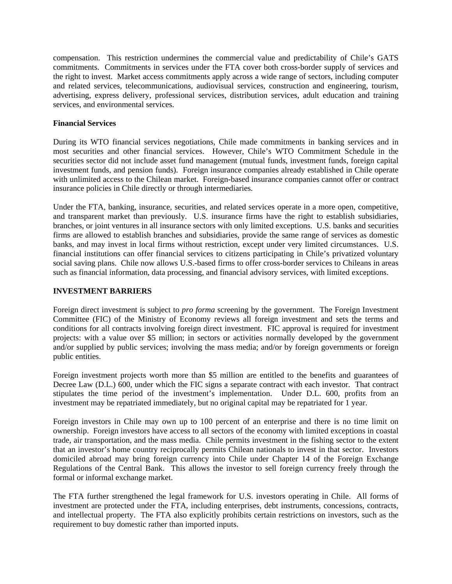compensation. This restriction undermines the commercial value and predictability of Chile's GATS commitments. Commitments in services under the FTA cover both cross-border supply of services and the right to invest. Market access commitments apply across a wide range of sectors, including computer and related services, telecommunications, audiovisual services, construction and engineering, tourism, advertising, express delivery, professional services, distribution services, adult education and training services, and environmental services.

# **Financial Services**

During its WTO financial services negotiations, Chile made commitments in banking services and in most securities and other financial services. However, Chile's WTO Commitment Schedule in the securities sector did not include asset fund management (mutual funds, investment funds, foreign capital investment funds, and pension funds). Foreign insurance companies already established in Chile operate with unlimited access to the Chilean market. Foreign-based insurance companies cannot offer or contract insurance policies in Chile directly or through intermediaries.

Under the FTA, banking, insurance, securities, and related services operate in a more open, competitive, and transparent market than previously. U.S. insurance firms have the right to establish subsidiaries, branches, or joint ventures in all insurance sectors with only limited exceptions. U.S. banks and securities firms are allowed to establish branches and subsidiaries, provide the same range of services as domestic banks, and may invest in local firms without restriction, except under very limited circumstances. U.S. financial institutions can offer financial services to citizens participating in Chile's privatized voluntary social saving plans. Chile now allows U.S.-based firms to offer cross-border services to Chileans in areas such as financial information, data processing, and financial advisory services, with limited exceptions.

#### **INVESTMENT BARRIERS**

Foreign direct investment is subject to *pro forma* screening by the government. The Foreign Investment Committee (FIC) of the Ministry of Economy reviews all foreign investment and sets the terms and conditions for all contracts involving foreign direct investment. FIC approval is required for investment projects: with a value over \$5 million; in sectors or activities normally developed by the government and/or supplied by public services; involving the mass media; and/or by foreign governments or foreign public entities.

Foreign investment projects worth more than \$5 million are entitled to the benefits and guarantees of Decree Law (D.L.) 600, under which the FIC signs a separate contract with each investor. That contract stipulates the time period of the investment's implementation. Under D.L. 600, profits from an investment may be repatriated immediately, but no original capital may be repatriated for 1 year.

Foreign investors in Chile may own up to 100 percent of an enterprise and there is no time limit on ownership. Foreign investors have access to all sectors of the economy with limited exceptions in coastal trade, air transportation, and the mass media. Chile permits investment in the fishing sector to the extent that an investor's home country reciprocally permits Chilean nationals to invest in that sector. Investors domiciled abroad may bring foreign currency into Chile under Chapter 14 of the Foreign Exchange Regulations of the Central Bank. This allows the investor to sell foreign currency freely through the formal or informal exchange market.

The FTA further strengthened the legal framework for U.S. investors operating in Chile. All forms of investment are protected under the FTA, including enterprises, debt instruments, concessions, contracts, and intellectual property. The FTA also explicitly prohibits certain restrictions on investors, such as the requirement to buy domestic rather than imported inputs.